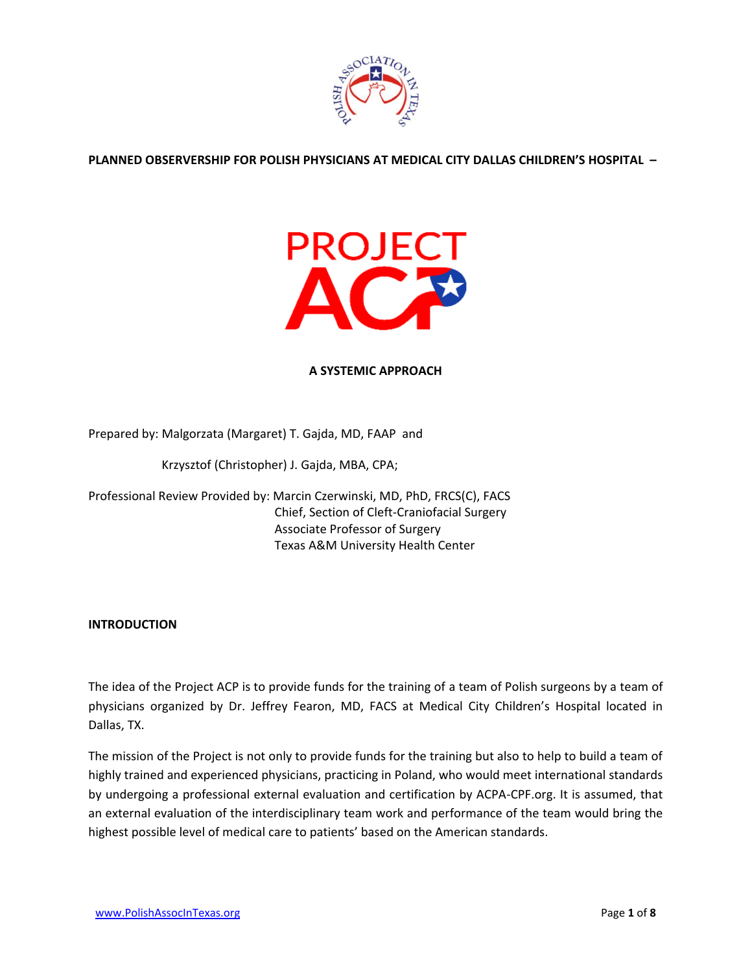

**PLANNED OBSERVERSHIP FOR POLISH PHYSICIANS AT MEDICAL CITY DALLAS CHILDREN'S HOSPITAL –**



### **A SYSTEMIC APPROACH**

Prepared by: Malgorzata (Margaret) T. Gajda, MD, FAAP and

Krzysztof (Christopher) J. Gajda, MBA, CPA;

Professional Review Provided by: Marcin Czerwinski, MD, PhD, FRCS(C), FACS Chief, Section of Cleft-Craniofacial Surgery Associate Professor of Surgery Texas A&M University Health Center

#### **INTRODUCTION**

The idea of the Project ACP is to provide funds for the training of a team of Polish surgeons by a team of physicians organized by Dr. Jeffrey Fearon, MD, FACS at Medical City Children's Hospital located in Dallas, TX.

The mission of the Project is not only to provide funds for the training but also to help to build a team of highly trained and experienced physicians, practicing in Poland, who would meet international standards by undergoing a professional external evaluation and certification by ACPA-CPF.org. It is assumed, that an external evaluation of the interdisciplinary team work and performance of the team would bring the highest possible level of medical care to patients' based on the American standards.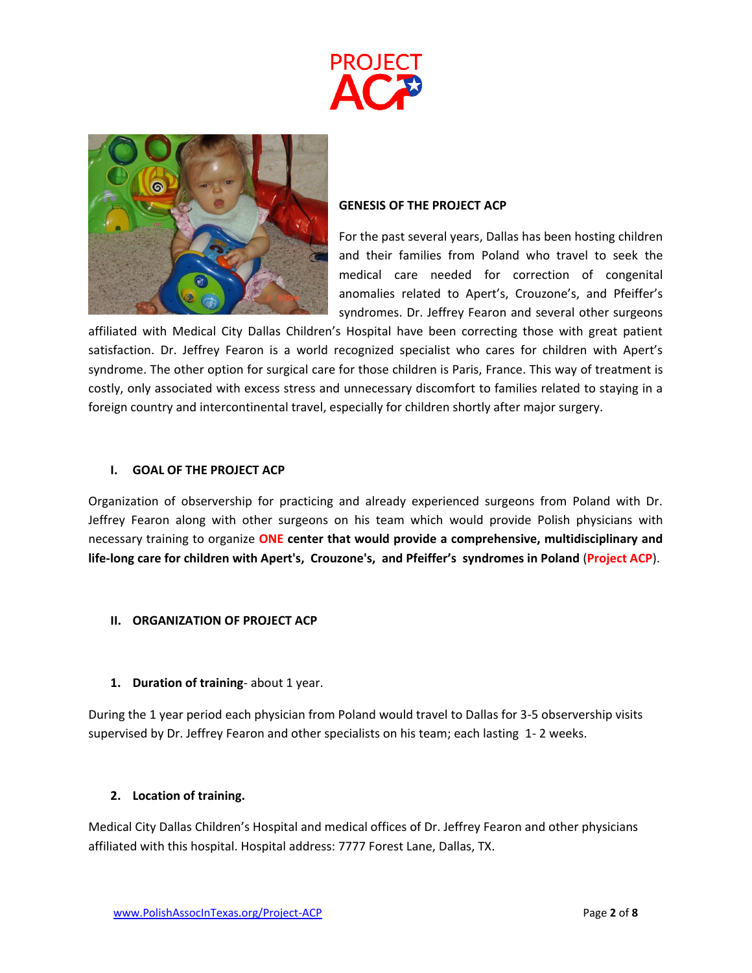



#### **GENESIS OF THE PROJECT ACP**

For the past several years, Dallas has been hosting children and their families from Poland who travel to seek the medical care needed for correction of congenital anomalies related to Apert's, Crouzone's, and Pfeiffer's syndromes. Dr. Jeffrey Fearon and several other surgeons

affiliated with Medical City Dallas Children's Hospital have been correcting those with great patient satisfaction. Dr. Jeffrey Fearon is a world recognized specialist who cares for children with Apert's syndrome. The other option for surgical care for those children is Paris, France. This way of treatment is costly, only associated with excess stress and unnecessary discomfort to families related to staying in a foreign country and intercontinental travel, especially for children shortly after major surgery.

### **I. GOAL OF THE PROJECT ACP**

Organization of observership for practicing and already experienced surgeons from Poland with Dr. Jeffrey Fearon along with other surgeons on his team which would provide Polish physicians with necessary training to organize **ONE center that would provide a comprehensive, multidisciplinary and life-long care for children with Apert's, Crouzone's, and Pfeiffer's syndromes in Poland** (**Project ACP**).

# **II. ORGANIZATION OF PROJECT ACP**

# **1. Duration of training**- about 1 year.

During the 1 year period each physician from Poland would travel to Dallas for 3-5 observership visits supervised by Dr. Jeffrey Fearon and other specialists on his team; each lasting 1- 2 weeks.

# **2. Location of training.**

Medical City Dallas Children's Hospital and medical offices of Dr. Jeffrey Fearon and other physicians affiliated with this hospital. Hospital address: 7777 Forest Lane, Dallas, TX.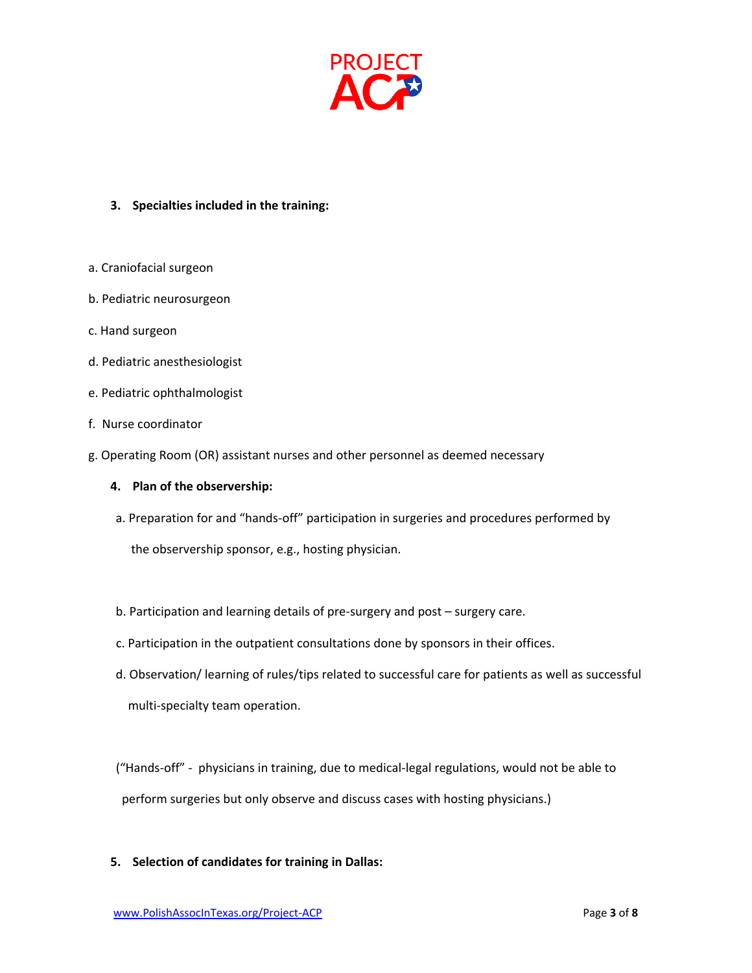

# **3. Specialties included in the training:**

- a. Craniofacial surgeon
- b. Pediatric neurosurgeon
- c. Hand surgeon
- d. Pediatric anesthesiologist
- e. Pediatric ophthalmologist
- f. Nurse coordinator
- g. Operating Room (OR) assistant nurses and other personnel as deemed necessary

#### **4. Plan of the observership:**

a. Preparation for and "hands-off" participation in surgeries and procedures performed by

the observership sponsor, e.g., hosting physician.

- b. Participation and learning details of pre-surgery and post surgery care.
- c. Participation in the outpatient consultations done by sponsors in their offices.
- d. Observation/ learning of rules/tips related to successful care for patients as well as successful multi-specialty team operation.

 ("Hands-off" - physicians in training, due to medical-legal regulations, would not be able to perform surgeries but only observe and discuss cases with hosting physicians.)

#### **5. Selection of candidates for training in Dallas:**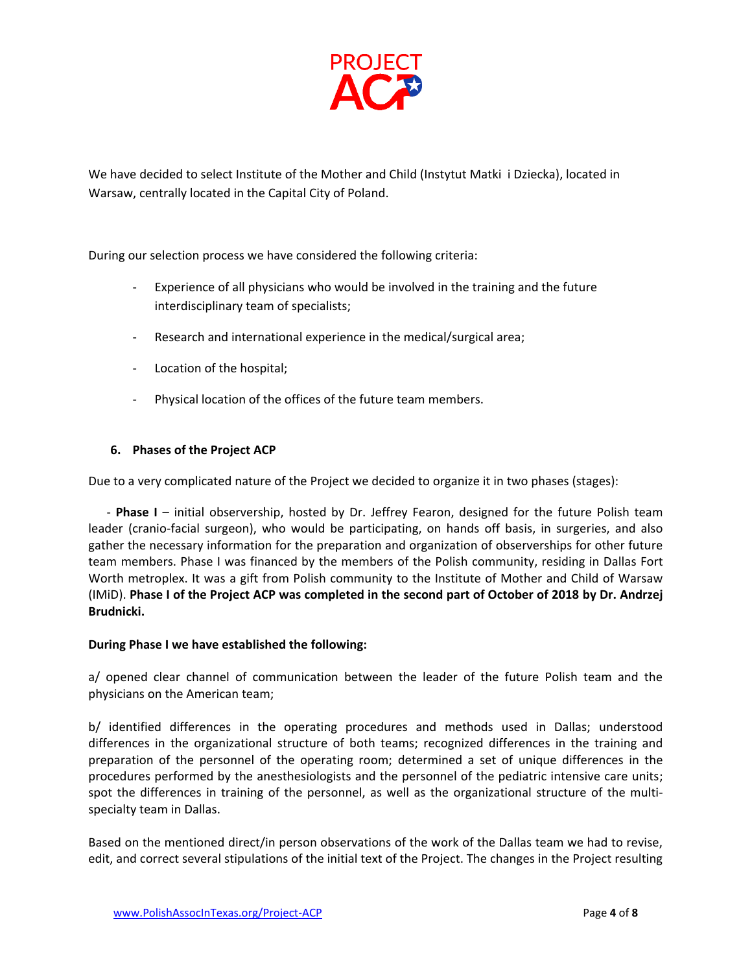

We have decided to select Institute of the Mother and Child (Instytut Matki i Dziecka), located in Warsaw, centrally located in the Capital City of Poland.

During our selection process we have considered the following criteria:

- Experience of all physicians who would be involved in the training and the future interdisciplinary team of specialists;
- Research and international experience in the medical/surgical area;
- Location of the hospital;
- Physical location of the offices of the future team members.

# **6. Phases of the Project ACP**

Due to a very complicated nature of the Project we decided to organize it in two phases (stages):

 - **Phase I** – initial observership, hosted by Dr. Jeffrey Fearon, designed for the future Polish team leader (cranio-facial surgeon), who would be participating, on hands off basis, in surgeries, and also gather the necessary information for the preparation and organization of observerships for other future team members. Phase I was financed by the members of the Polish community, residing in Dallas Fort Worth metroplex. It was a gift from Polish community to the Institute of Mother and Child of Warsaw (IMiD). **Phase I of the Project ACP was completed in the second part of October of 2018 by Dr. Andrzej Brudnicki.**

#### **During Phase I we have established the following:**

a/ opened clear channel of communication between the leader of the future Polish team and the physicians on the American team;

b/ identified differences in the operating procedures and methods used in Dallas; understood differences in the organizational structure of both teams; recognized differences in the training and preparation of the personnel of the operating room; determined a set of unique differences in the procedures performed by the anesthesiologists and the personnel of the pediatric intensive care units; spot the differences in training of the personnel, as well as the organizational structure of the multispecialty team in Dallas.

Based on the mentioned direct/in person observations of the work of the Dallas team we had to revise, edit, and correct several stipulations of the initial text of the Project. The changes in the Project resulting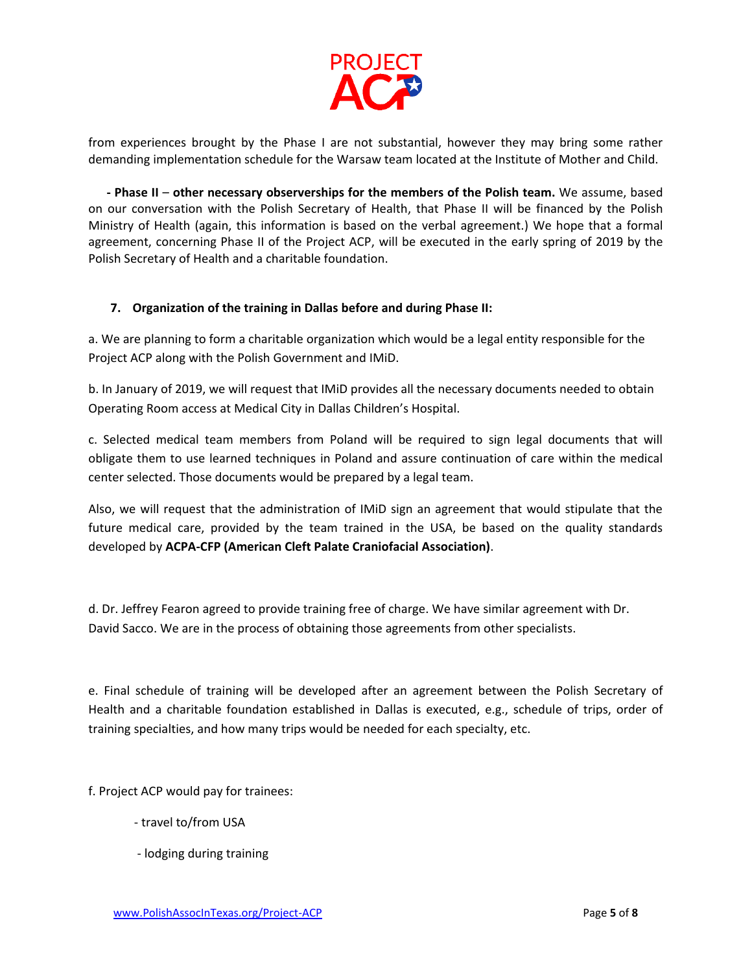

from experiences brought by the Phase I are not substantial, however they may bring some rather demanding implementation schedule for the Warsaw team located at the Institute of Mother and Child.

 **- Phase II** – **other necessary observerships for the members of the Polish team.** We assume, based on our conversation with the Polish Secretary of Health, that Phase II will be financed by the Polish Ministry of Health (again, this information is based on the verbal agreement.) We hope that a formal agreement, concerning Phase II of the Project ACP, will be executed in the early spring of 2019 by the Polish Secretary of Health and a charitable foundation.

# **7. Organization of the training in Dallas before and during Phase II:**

a. We are planning to form a charitable organization which would be a legal entity responsible for the Project ACP along with the Polish Government and IMiD.

b. In January of 2019, we will request that IMiD provides all the necessary documents needed to obtain Operating Room access at Medical City in Dallas Children's Hospital.

c. Selected medical team members from Poland will be required to sign legal documents that will obligate them to use learned techniques in Poland and assure continuation of care within the medical center selected. Those documents would be prepared by a legal team.

Also, we will request that the administration of IMiD sign an agreement that would stipulate that the future medical care, provided by the team trained in the USA, be based on the quality standards developed by **ACPA-CFP (American Cleft Palate Craniofacial Association)**.

d. Dr. Jeffrey Fearon agreed to provide training free of charge. We have similar agreement with Dr. David Sacco. We are in the process of obtaining those agreements from other specialists.

e. Final schedule of training will be developed after an agreement between the Polish Secretary of Health and a charitable foundation established in Dallas is executed, e.g., schedule of trips, order of training specialties, and how many trips would be needed for each specialty, etc.

f. Project ACP would pay for trainees:

- travel to/from USA
- lodging during training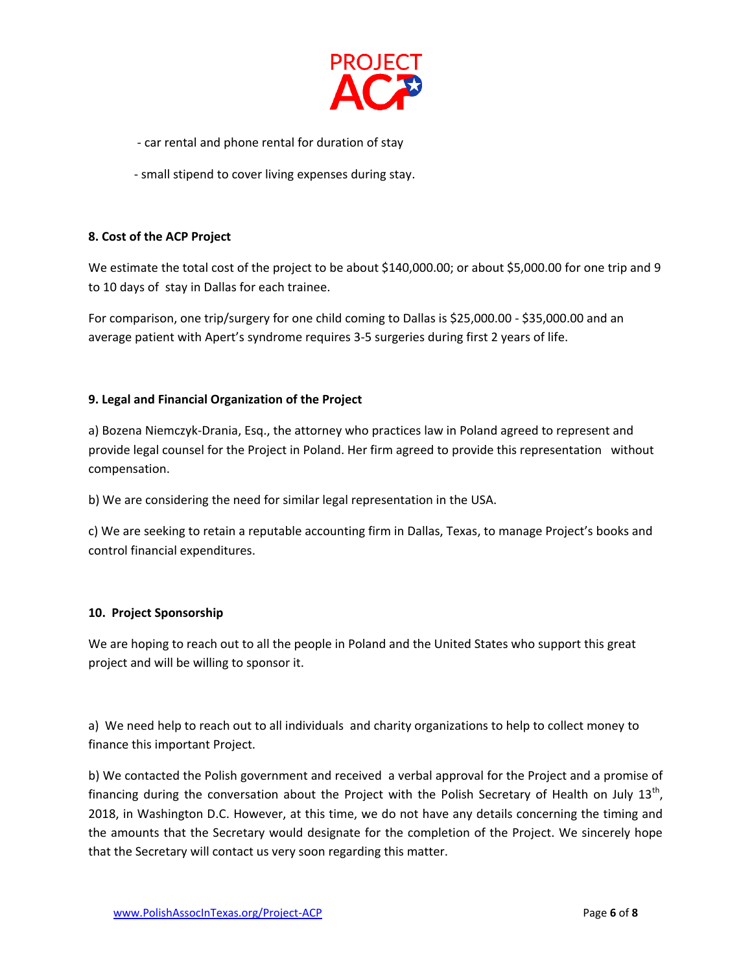

- car rental and phone rental for duration of stay
- small stipend to cover living expenses during stay.

# **8. Cost of the ACP Project**

We estimate the total cost of the project to be about \$140,000.00; or about \$5,000.00 for one trip and 9 to 10 days of stay in Dallas for each trainee.

For comparison, one trip/surgery for one child coming to Dallas is \$25,000.00 - \$35,000.00 and an average patient with Apert's syndrome requires 3-5 surgeries during first 2 years of life.

# **9. Legal and Financial Organization of the Project**

a) Bozena Niemczyk-Drania, Esq., the attorney who practices law in Poland agreed to represent and provide legal counsel for the Project in Poland. Her firm agreed to provide this representation without compensation.

b) We are considering the need for similar legal representation in the USA.

c) We are seeking to retain a reputable accounting firm in Dallas, Texas, to manage Project's books and control financial expenditures.

# **10. Project Sponsorship**

We are hoping to reach out to all the people in Poland and the United States who support this great project and will be willing to sponsor it.

a) We need help to reach out to all individuals and charity organizations to help to collect money to finance this important Project.

b) We contacted the Polish government and received a verbal approval for the Project and a promise of financing during the conversation about the Project with the Polish Secretary of Health on July 13<sup>th</sup>, 2018, in Washington D.C. However, at this time, we do not have any details concerning the timing and the amounts that the Secretary would designate for the completion of the Project. We sincerely hope that the Secretary will contact us very soon regarding this matter.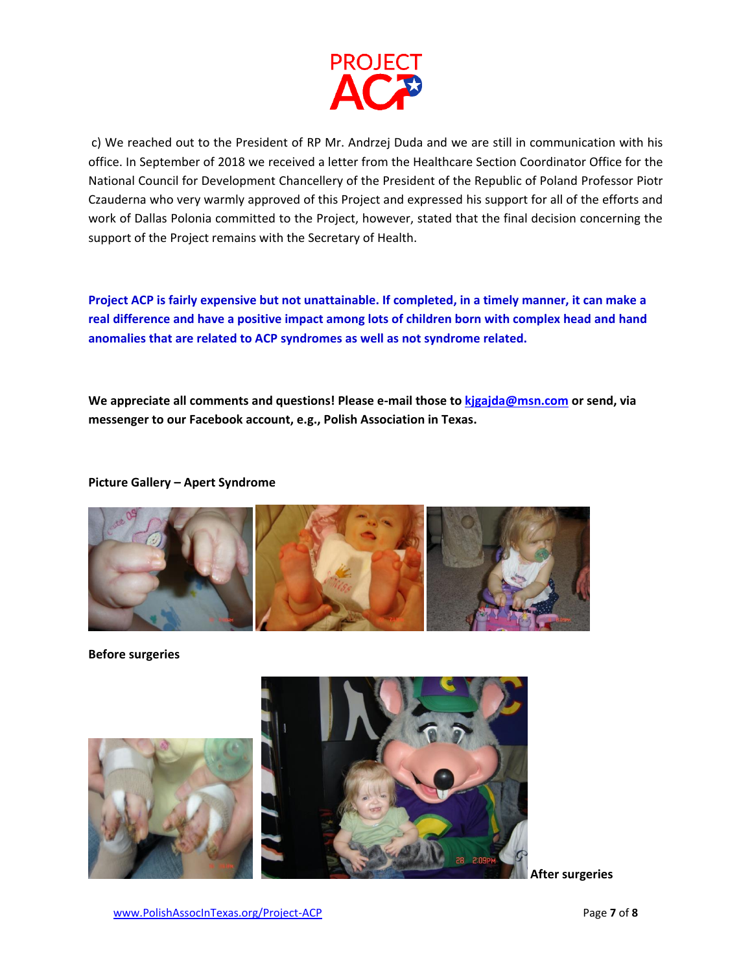

c) We reached out to the President of RP Mr. Andrzej Duda and we are still in communication with his office. In September of 2018 we received a letter from the Healthcare Section Coordinator Office for the National Council for Development Chancellery of the President of the Republic of Poland Professor Piotr Czauderna who very warmly approved of this Project and expressed his support for all of the efforts and work of Dallas Polonia committed to the Project, however, stated that the final decision concerning the support of the Project remains with the Secretary of Health.

**Project ACP is fairly expensive but not unattainable. If completed, in a timely manner, it can make a real difference and have a positive impact among lots of children born with complex head and hand anomalies that are related to ACP syndromes as well as not syndrome related.**

**We appreciate all comments and questions! Please e-mail those t[o kjgajda@msn.com](mailto:kjgajda@msn.com) or send, via messenger to our Facebook account, e.g., Polish Association in Texas.**

**Picture Gallery – Apert Syndrome**



**Before surgeries**



 **After surgeries**